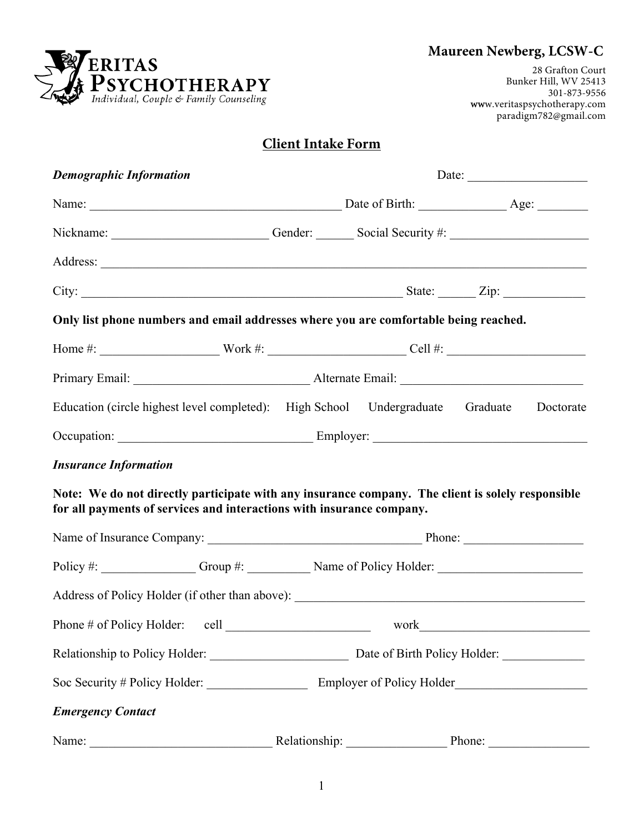# **Maureen Newberg, LCSW-C**



28 Grafton Court Bunker Hill, WV 25413 301-873-9556 www.veritaspsychotherapy.com paradigm782@gmail.com

## **Client Intake Form**

| <b>Demographic Information</b>                                                                                                                                             | Date: $\qquad \qquad$ |               |                           |
|----------------------------------------------------------------------------------------------------------------------------------------------------------------------------|-----------------------|---------------|---------------------------|
|                                                                                                                                                                            |                       |               |                           |
| Nickname: Cender: Cender: Social Security #:                                                                                                                               |                       |               |                           |
|                                                                                                                                                                            |                       |               |                           |
| City: $\frac{2}{\pi}$ State: $\frac{2}{\pi}$ Zip:                                                                                                                          |                       |               |                           |
| Only list phone numbers and email addresses where you are comfortable being reached.                                                                                       |                       |               |                           |
|                                                                                                                                                                            |                       |               |                           |
|                                                                                                                                                                            |                       |               |                           |
| Education (circle highest level completed): High School Undergraduate Graduate                                                                                             |                       |               | Doctorate                 |
|                                                                                                                                                                            |                       |               |                           |
| <b>Insurance Information</b>                                                                                                                                               |                       |               |                           |
| Note: We do not directly participate with any insurance company. The client is solely responsible<br>for all payments of services and interactions with insurance company. |                       |               |                           |
|                                                                                                                                                                            |                       |               |                           |
|                                                                                                                                                                            |                       |               |                           |
|                                                                                                                                                                            |                       |               |                           |
| Phone # of Policy Holder: cell work work                                                                                                                                   |                       |               |                           |
|                                                                                                                                                                            |                       |               |                           |
| Soc Security # Policy Holder:                                                                                                                                              |                       |               | Employer of Policy Holder |
| <b>Emergency Contact</b>                                                                                                                                                   |                       |               |                           |
| Name:                                                                                                                                                                      |                       | Relationship: | Phone:                    |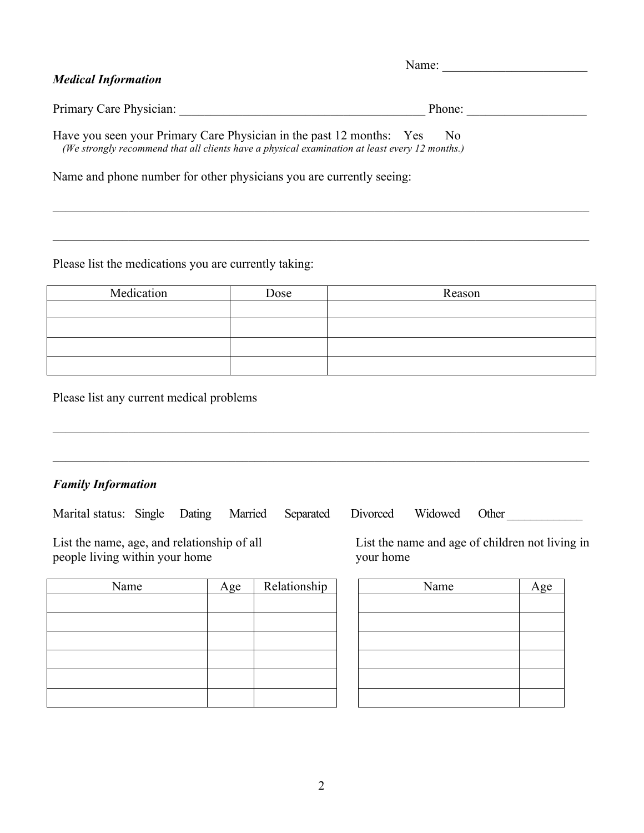| <b>Medical Information</b>                                                                                                                                             | Name:          |
|------------------------------------------------------------------------------------------------------------------------------------------------------------------------|----------------|
| Primary Care Physician:                                                                                                                                                | Phone:         |
| Have you seen your Primary Care Physician in the past 12 months: Yes<br>(We strongly recommend that all clients have a physical examination at least every 12 months.) | N <sub>0</sub> |

 $\mathcal{L}_\mathcal{L} = \{ \mathcal{L}_\mathcal{L} = \{ \mathcal{L}_\mathcal{L} = \{ \mathcal{L}_\mathcal{L} = \{ \mathcal{L}_\mathcal{L} = \{ \mathcal{L}_\mathcal{L} = \{ \mathcal{L}_\mathcal{L} = \{ \mathcal{L}_\mathcal{L} = \{ \mathcal{L}_\mathcal{L} = \{ \mathcal{L}_\mathcal{L} = \{ \mathcal{L}_\mathcal{L} = \{ \mathcal{L}_\mathcal{L} = \{ \mathcal{L}_\mathcal{L} = \{ \mathcal{L}_\mathcal{L} = \{ \mathcal{L}_\mathcal{$ 

 $\mathcal{L}_\mathcal{L} = \{ \mathcal{L}_\mathcal{L} = \{ \mathcal{L}_\mathcal{L} = \{ \mathcal{L}_\mathcal{L} = \{ \mathcal{L}_\mathcal{L} = \{ \mathcal{L}_\mathcal{L} = \{ \mathcal{L}_\mathcal{L} = \{ \mathcal{L}_\mathcal{L} = \{ \mathcal{L}_\mathcal{L} = \{ \mathcal{L}_\mathcal{L} = \{ \mathcal{L}_\mathcal{L} = \{ \mathcal{L}_\mathcal{L} = \{ \mathcal{L}_\mathcal{L} = \{ \mathcal{L}_\mathcal{L} = \{ \mathcal{L}_\mathcal{$ 

Name and phone number for other physicians you are currently seeing:

Please list the medications you are currently taking:

| Medication | Dose | Reason |
|------------|------|--------|
|            |      |        |
|            |      |        |
|            |      |        |
|            |      |        |

 $\mathcal{L}_\mathcal{L} = \{ \mathcal{L}_\mathcal{L} = \{ \mathcal{L}_\mathcal{L} = \{ \mathcal{L}_\mathcal{L} = \{ \mathcal{L}_\mathcal{L} = \{ \mathcal{L}_\mathcal{L} = \{ \mathcal{L}_\mathcal{L} = \{ \mathcal{L}_\mathcal{L} = \{ \mathcal{L}_\mathcal{L} = \{ \mathcal{L}_\mathcal{L} = \{ \mathcal{L}_\mathcal{L} = \{ \mathcal{L}_\mathcal{L} = \{ \mathcal{L}_\mathcal{L} = \{ \mathcal{L}_\mathcal{L} = \{ \mathcal{L}_\mathcal{$ 

 $\mathcal{L}_\mathcal{L} = \{ \mathcal{L}_\mathcal{L} = \{ \mathcal{L}_\mathcal{L} = \{ \mathcal{L}_\mathcal{L} = \{ \mathcal{L}_\mathcal{L} = \{ \mathcal{L}_\mathcal{L} = \{ \mathcal{L}_\mathcal{L} = \{ \mathcal{L}_\mathcal{L} = \{ \mathcal{L}_\mathcal{L} = \{ \mathcal{L}_\mathcal{L} = \{ \mathcal{L}_\mathcal{L} = \{ \mathcal{L}_\mathcal{L} = \{ \mathcal{L}_\mathcal{L} = \{ \mathcal{L}_\mathcal{L} = \{ \mathcal{L}_\mathcal{$ 

Please list any current medical problems

### *Family Information*

Marital status: Single Dating Married Separated Divorced Widowed Other \_\_\_\_\_\_\_\_\_\_

people living within your home

| Name | Age | Relationship | Name | Age |
|------|-----|--------------|------|-----|
|      |     |              |      |     |
|      |     |              |      |     |
|      |     |              |      |     |
|      |     |              |      |     |
|      |     |              |      |     |
|      |     |              |      |     |

List the name, age, and relationship of all List the name and age of children not living in people living within your home your home

| Name | Age |
|------|-----|
|      |     |
|      |     |
|      |     |
|      |     |
|      |     |
|      |     |